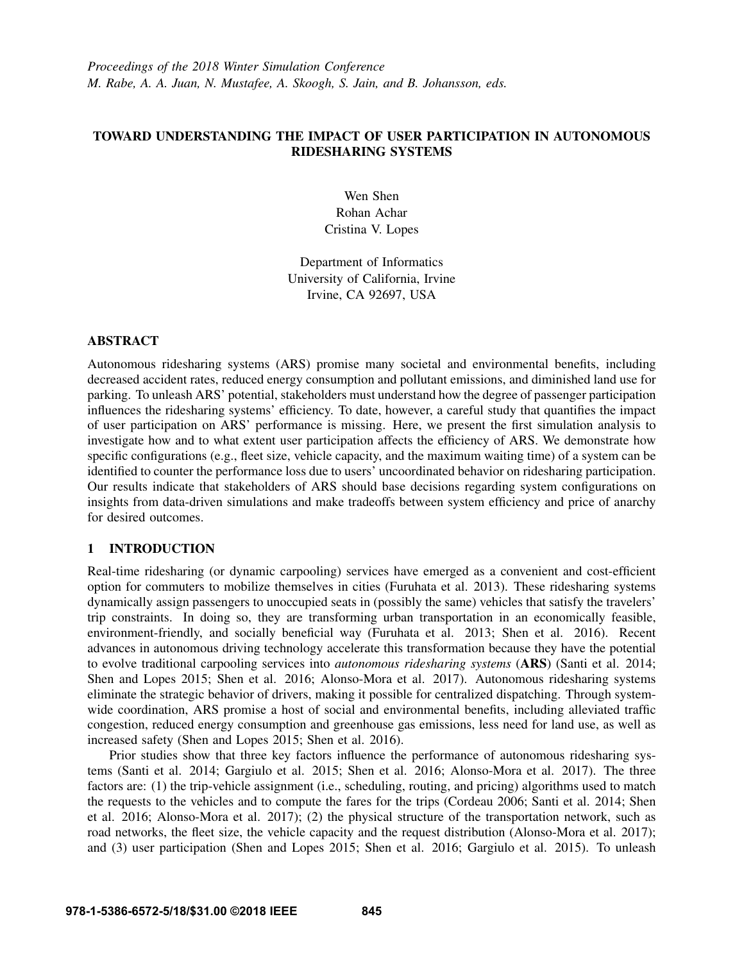## TOWARD UNDERSTANDING THE IMPACT OF USER PARTICIPATION IN AUTONOMOUS RIDESHARING SYSTEMS

Wen Shen Rohan Achar Cristina V. Lopes

Department of Informatics University of California, Irvine Irvine, CA 92697, USA

## ABSTRACT

Autonomous ridesharing systems (ARS) promise many societal and environmental benefits, including decreased accident rates, reduced energy consumption and pollutant emissions, and diminished land use for parking. To unleash ARS' potential, stakeholders must understand how the degree of passenger participation influences the ridesharing systems' efficiency. To date, however, a careful study that quantifies the impact of user participation on ARS' performance is missing. Here, we present the first simulation analysis to investigate how and to what extent user participation affects the efficiency of ARS. We demonstrate how specific configurations (e.g., fleet size, vehicle capacity, and the maximum waiting time) of a system can be identified to counter the performance loss due to users' uncoordinated behavior on ridesharing participation. Our results indicate that stakeholders of ARS should base decisions regarding system configurations on insights from data-driven simulations and make tradeoffs between system efficiency and price of anarchy for desired outcomes.

## 1 INTRODUCTION

Real-time ridesharing (or dynamic carpooling) services have emerged as a convenient and cost-efficient option for commuters to mobilize themselves in cities (Furuhata et al. 2013). These ridesharing systems dynamically assign passengers to unoccupied seats in (possibly the same) vehicles that satisfy the travelers' trip constraints. In doing so, they are transforming urban transportation in an economically feasible, environment-friendly, and socially beneficial way (Furuhata et al. 2013; Shen et al. 2016). Recent advances in autonomous driving technology accelerate this transformation because they have the potential to evolve traditional carpooling services into *autonomous ridesharing systems* (ARS) (Santi et al. 2014; Shen and Lopes 2015; Shen et al. 2016; Alonso-Mora et al. 2017). Autonomous ridesharing systems eliminate the strategic behavior of drivers, making it possible for centralized dispatching. Through systemwide coordination, ARS promise a host of social and environmental benefits, including alleviated traffic congestion, reduced energy consumption and greenhouse gas emissions, less need for land use, as well as increased safety (Shen and Lopes 2015; Shen et al. 2016).

Prior studies show that three key factors influence the performance of autonomous ridesharing systems (Santi et al. 2014; Gargiulo et al. 2015; Shen et al. 2016; Alonso-Mora et al. 2017). The three factors are: (1) the trip-vehicle assignment (i.e., scheduling, routing, and pricing) algorithms used to match the requests to the vehicles and to compute the fares for the trips (Cordeau 2006; Santi et al. 2014; Shen et al. 2016; Alonso-Mora et al. 2017); (2) the physical structure of the transportation network, such as road networks, the fleet size, the vehicle capacity and the request distribution (Alonso-Mora et al. 2017); and (3) user participation (Shen and Lopes 2015; Shen et al. 2016; Gargiulo et al. 2015). To unleash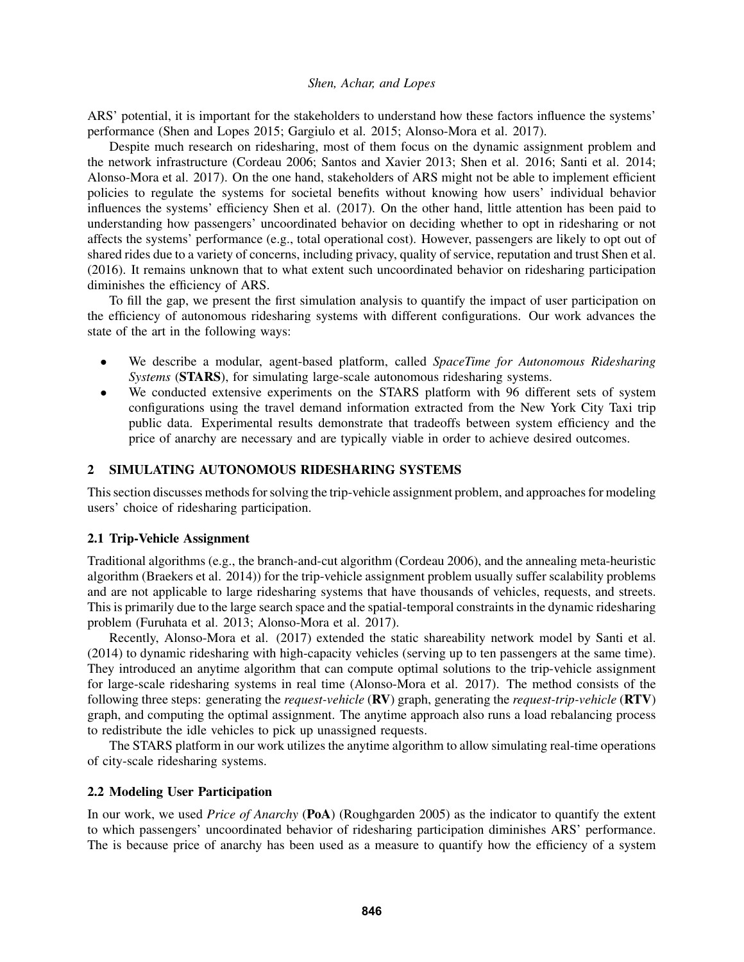ARS' potential, it is important for the stakeholders to understand how these factors influence the systems' performance (Shen and Lopes 2015; Gargiulo et al. 2015; Alonso-Mora et al. 2017).

Despite much research on ridesharing, most of them focus on the dynamic assignment problem and the network infrastructure (Cordeau 2006; Santos and Xavier 2013; Shen et al. 2016; Santi et al. 2014; Alonso-Mora et al. 2017). On the one hand, stakeholders of ARS might not be able to implement efficient policies to regulate the systems for societal benefits without knowing how users' individual behavior influences the systems' efficiency Shen et al. (2017). On the other hand, little attention has been paid to understanding how passengers' uncoordinated behavior on deciding whether to opt in ridesharing or not affects the systems' performance (e.g., total operational cost). However, passengers are likely to opt out of shared rides due to a variety of concerns, including privacy, quality of service, reputation and trust Shen et al. (2016). It remains unknown that to what extent such uncoordinated behavior on ridesharing participation diminishes the efficiency of ARS.

To fill the gap, we present the first simulation analysis to quantify the impact of user participation on the efficiency of autonomous ridesharing systems with different configurations. Our work advances the state of the art in the following ways:

- We describe a modular, agent-based platform, called *SpaceTime for Autonomous Ridesharing Systems* (STARS), for simulating large-scale autonomous ridesharing systems.
- We conducted extensive experiments on the STARS platform with 96 different sets of system configurations using the travel demand information extracted from the New York City Taxi trip public data. Experimental results demonstrate that tradeoffs between system efficiency and the price of anarchy are necessary and are typically viable in order to achieve desired outcomes.

## 2 SIMULATING AUTONOMOUS RIDESHARING SYSTEMS

This section discusses methods for solving the trip-vehicle assignment problem, and approaches for modeling users' choice of ridesharing participation.

#### 2.1 Trip-Vehicle Assignment

Traditional algorithms (e.g., the branch-and-cut algorithm (Cordeau 2006), and the annealing meta-heuristic algorithm (Braekers et al. 2014)) for the trip-vehicle assignment problem usually suffer scalability problems and are not applicable to large ridesharing systems that have thousands of vehicles, requests, and streets. This is primarily due to the large search space and the spatial-temporal constraints in the dynamic ridesharing problem (Furuhata et al. 2013; Alonso-Mora et al. 2017).

Recently, Alonso-Mora et al. (2017) extended the static shareability network model by Santi et al. (2014) to dynamic ridesharing with high-capacity vehicles (serving up to ten passengers at the same time). They introduced an anytime algorithm that can compute optimal solutions to the trip-vehicle assignment for large-scale ridesharing systems in real time (Alonso-Mora et al. 2017). The method consists of the following three steps: generating the *request-vehicle* (RV) graph, generating the *request-trip-vehicle* (RTV) graph, and computing the optimal assignment. The anytime approach also runs a load rebalancing process to redistribute the idle vehicles to pick up unassigned requests.

The STARS platform in our work utilizes the anytime algorithm to allow simulating real-time operations of city-scale ridesharing systems.

#### 2.2 Modeling User Participation

In our work, we used *Price of Anarchy* (PoA) (Roughgarden 2005) as the indicator to quantify the extent to which passengers' uncoordinated behavior of ridesharing participation diminishes ARS' performance. The is because price of anarchy has been used as a measure to quantify how the efficiency of a system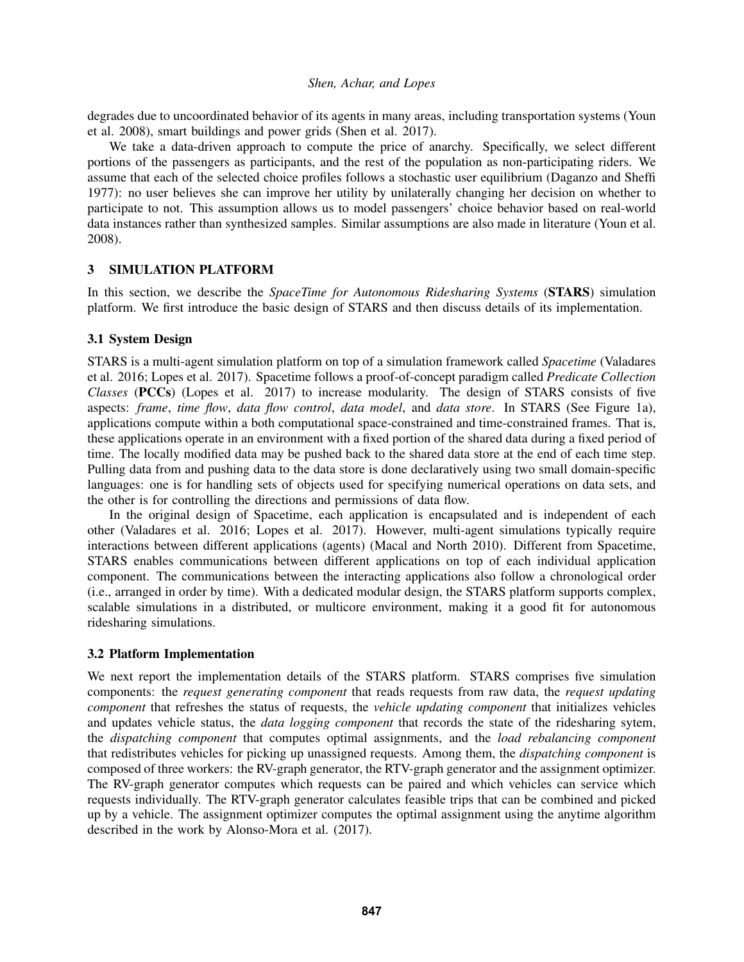degrades due to uncoordinated behavior of its agents in many areas, including transportation systems (Youn et al. 2008), smart buildings and power grids (Shen et al. 2017).

We take a data-driven approach to compute the price of anarchy. Specifically, we select different portions of the passengers as participants, and the rest of the population as non-participating riders. We assume that each of the selected choice profiles follows a stochastic user equilibrium (Daganzo and Sheffi 1977): no user believes she can improve her utility by unilaterally changing her decision on whether to participate to not. This assumption allows us to model passengers' choice behavior based on real-world data instances rather than synthesized samples. Similar assumptions are also made in literature (Youn et al. 2008).

## 3 SIMULATION PLATFORM

In this section, we describe the *SpaceTime for Autonomous Ridesharing Systems* (STARS) simulation platform. We first introduce the basic design of STARS and then discuss details of its implementation.

## 3.1 System Design

STARS is a multi-agent simulation platform on top of a simulation framework called *Spacetime* (Valadares et al. 2016; Lopes et al. 2017). Spacetime follows a proof-of-concept paradigm called *Predicate Collection Classes* (PCCs) (Lopes et al. 2017) to increase modularity. The design of STARS consists of five aspects: *frame*, *time flow*, *data flow control*, *data model*, and *data store*. In STARS (See Figure 1a), applications compute within a both computational space-constrained and time-constrained frames. That is, these applications operate in an environment with a fixed portion of the shared data during a fixed period of time. The locally modified data may be pushed back to the shared data store at the end of each time step. Pulling data from and pushing data to the data store is done declaratively using two small domain-specific languages: one is for handling sets of objects used for specifying numerical operations on data sets, and the other is for controlling the directions and permissions of data flow.

In the original design of Spacetime, each application is encapsulated and is independent of each other (Valadares et al. 2016; Lopes et al. 2017). However, multi-agent simulations typically require interactions between different applications (agents) (Macal and North 2010). Different from Spacetime, STARS enables communications between different applications on top of each individual application component. The communications between the interacting applications also follow a chronological order (i.e., arranged in order by time). With a dedicated modular design, the STARS platform supports complex, scalable simulations in a distributed, or multicore environment, making it a good fit for autonomous ridesharing simulations.

## 3.2 Platform Implementation

We next report the implementation details of the STARS platform. STARS comprises five simulation components: the *request generating component* that reads requests from raw data, the *request updating component* that refreshes the status of requests, the *vehicle updating component* that initializes vehicles and updates vehicle status, the *data logging component* that records the state of the ridesharing sytem, the *dispatching component* that computes optimal assignments, and the *load rebalancing component* that redistributes vehicles for picking up unassigned requests. Among them, the *dispatching component* is composed of three workers: the RV-graph generator, the RTV-graph generator and the assignment optimizer. The RV-graph generator computes which requests can be paired and which vehicles can service which requests individually. The RTV-graph generator calculates feasible trips that can be combined and picked up by a vehicle. The assignment optimizer computes the optimal assignment using the anytime algorithm described in the work by Alonso-Mora et al. (2017).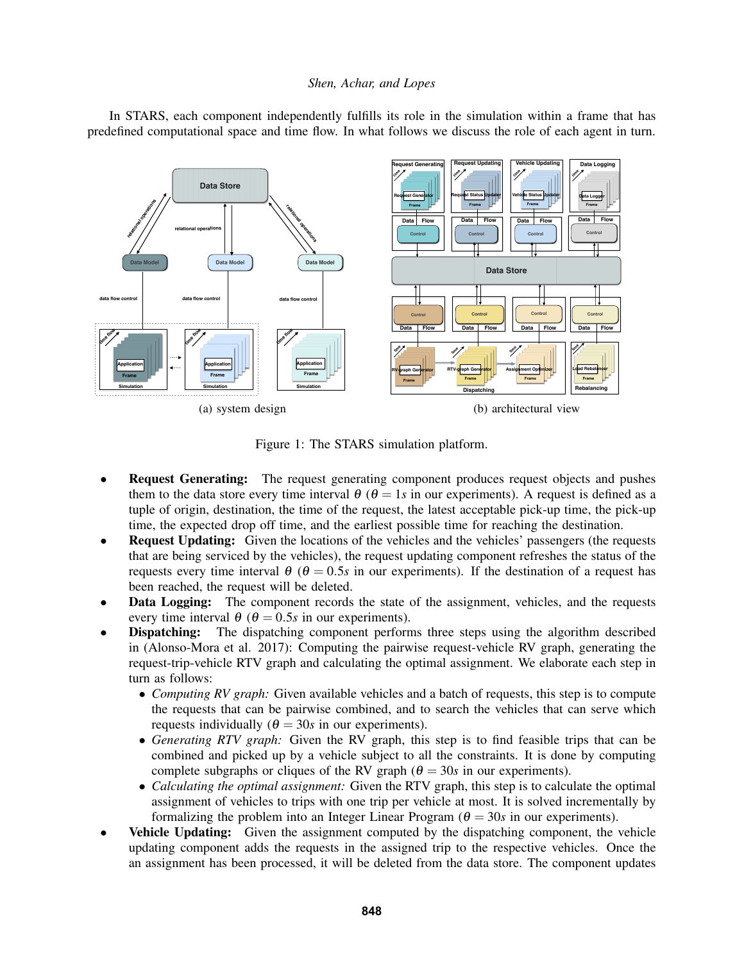

In STARS, each component independently fulfills its role in the simulation within a frame that has predefined computational space and time flow. In what follows we discuss the role of each agent in turn.

Figure 1: The STARS simulation platform.

- **Request Generating:** The request generating component produces request objects and pushes them to the data store every time interval  $\theta$  ( $\theta = 1s$  in our experiments). A request is defined as a tuple of origin, destination, the time of the request, the latest acceptable pick-up time, the pick-up time, the expected drop off time, and the earliest possible time for reaching the destination.
- **Request Updating:** Given the locations of the vehicles and the vehicles' passengers (the requests that are being serviced by the vehicles), the request updating component refreshes the status of the requests every time interval  $θ$  ( $θ$  = 0.5*s* in our experiments). If the destination of a request has been reached, the request will be deleted.
- Data Logging: The component records the state of the assignment, vehicles, and the requests every time interval  $\theta$  ( $\theta = 0.5s$  in our experiments).
- **Dispatching:** The dispatching component performs three steps using the algorithm described in (Alonso-Mora et al. 2017): Computing the pairwise request-vehicle RV graph, generating the request-trip-vehicle RTV graph and calculating the optimal assignment. We elaborate each step in turn as follows:
	- *Computing RV graph:* Given available vehicles and a batch of requests, this step is to compute the requests that can be pairwise combined, and to search the vehicles that can serve which requests individually  $(\theta = 30s)$  in our experiments).
	- *Generating RTV graph:* Given the RV graph, this step is to find feasible trips that can be combined and picked up by a vehicle subject to all the constraints. It is done by computing complete subgraphs or cliques of the RV graph ( $\theta = 30s$  in our experiments).
	- *Calculating the optimal assignment:* Given the RTV graph, this step is to calculate the optimal assignment of vehicles to trips with one trip per vehicle at most. It is solved incrementally by formalizing the problem into an Integer Linear Program  $(\theta = 30s$  in our experiments).
- **Vehicle Updating:** Given the assignment computed by the dispatching component, the vehicle updating component adds the requests in the assigned trip to the respective vehicles. Once the an assignment has been processed, it will be deleted from the data store. The component updates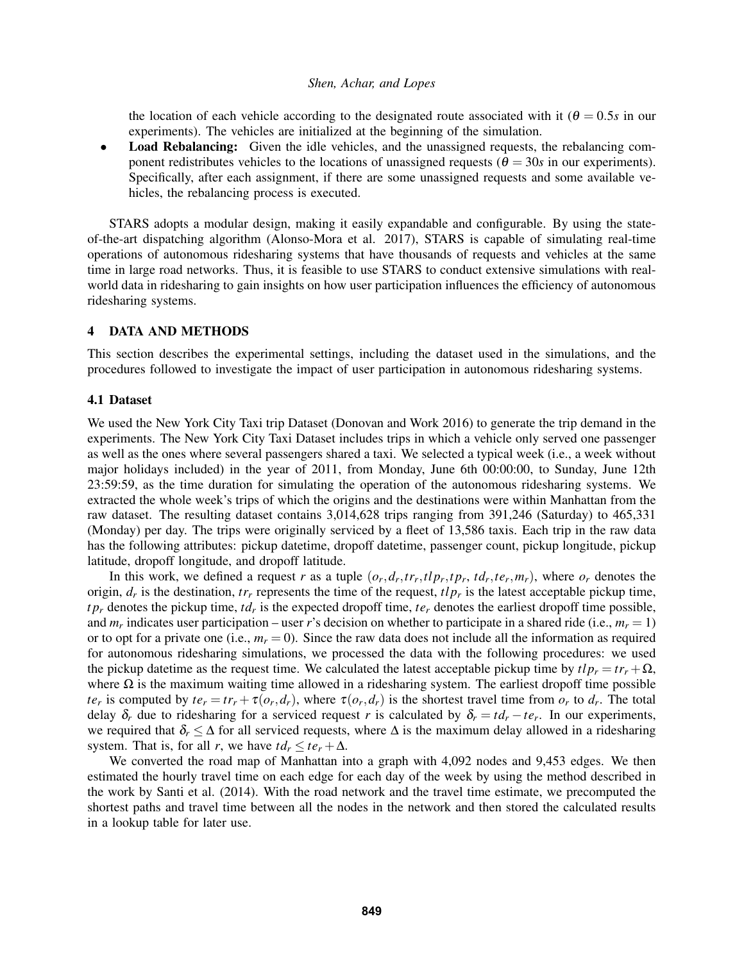the location of each vehicle according to the designated route associated with it ( $\theta = 0.5s$  in our experiments). The vehicles are initialized at the beginning of the simulation.

**Load Rebalancing:** Given the idle vehicles, and the unassigned requests, the rebalancing component redistributes vehicles to the locations of unassigned requests ( $\theta = 30s$  in our experiments). Specifically, after each assignment, if there are some unassigned requests and some available vehicles, the rebalancing process is executed.

STARS adopts a modular design, making it easily expandable and configurable. By using the stateof-the-art dispatching algorithm (Alonso-Mora et al. 2017), STARS is capable of simulating real-time operations of autonomous ridesharing systems that have thousands of requests and vehicles at the same time in large road networks. Thus, it is feasible to use STARS to conduct extensive simulations with realworld data in ridesharing to gain insights on how user participation influences the efficiency of autonomous ridesharing systems.

### 4 DATA AND METHODS

This section describes the experimental settings, including the dataset used in the simulations, and the procedures followed to investigate the impact of user participation in autonomous ridesharing systems.

#### 4.1 Dataset

We used the New York City Taxi trip Dataset (Donovan and Work 2016) to generate the trip demand in the experiments. The New York City Taxi Dataset includes trips in which a vehicle only served one passenger as well as the ones where several passengers shared a taxi. We selected a typical week (i.e., a week without major holidays included) in the year of 2011, from Monday, June 6th 00:00:00, to Sunday, June 12th 23:59:59, as the time duration for simulating the operation of the autonomous ridesharing systems. We extracted the whole week's trips of which the origins and the destinations were within Manhattan from the raw dataset. The resulting dataset contains 3,014,628 trips ranging from 391,246 (Saturday) to 465,331 (Monday) per day. The trips were originally serviced by a fleet of 13,586 taxis. Each trip in the raw data has the following attributes: pickup datetime, dropoff datetime, passenger count, pickup longitude, pickup latitude, dropoff longitude, and dropoff latitude.

In this work, we defined a request r as a tuple  $(o_r, d_r, tr_r, tlp_r, tp_r, td_r, te_r, m_r)$ , where  $o_r$  denotes the origin,  $d_r$  is the destination,  $tr_r$  represents the time of the request,  $tlp_r$  is the latest acceptable pickup time, *t p<sup>r</sup>* denotes the pickup time, *td<sup>r</sup>* is the expected dropoff time, *te<sup>r</sup>* denotes the earliest dropoff time possible, and  $m_r$  indicates user participation – user *r*'s decision on whether to participate in a shared ride (i.e.,  $m_r = 1$ ) or to opt for a private one (i.e.,  $m_r = 0$ ). Since the raw data does not include all the information as required for autonomous ridesharing simulations, we processed the data with the following procedures: we used the pickup datetime as the request time. We calculated the latest acceptable pickup time by  $tlp_r = tr_r + \Omega$ , where  $\Omega$  is the maximum waiting time allowed in a ridesharing system. The earliest dropoff time possible  $te_r$  is computed by  $te_r = tr_r + \tau(o_r, d_r)$ , where  $\tau(o_r, d_r)$  is the shortest travel time from  $o_r$  to  $d_r$ . The total delay  $\delta_r$  due to ridesharing for a serviced request *r* is calculated by  $\delta_r = td_r - te_r$ . In our experiments, we required that  $\delta_r \leq \Delta$  for all serviced requests, where  $\Delta$  is the maximum delay allowed in a ridesharing system. That is, for all *r*, we have  $td_r \leq te_r + \Delta$ .

We converted the road map of Manhattan into a graph with 4,092 nodes and 9,453 edges. We then estimated the hourly travel time on each edge for each day of the week by using the method described in the work by Santi et al. (2014). With the road network and the travel time estimate, we precomputed the shortest paths and travel time between all the nodes in the network and then stored the calculated results in a lookup table for later use.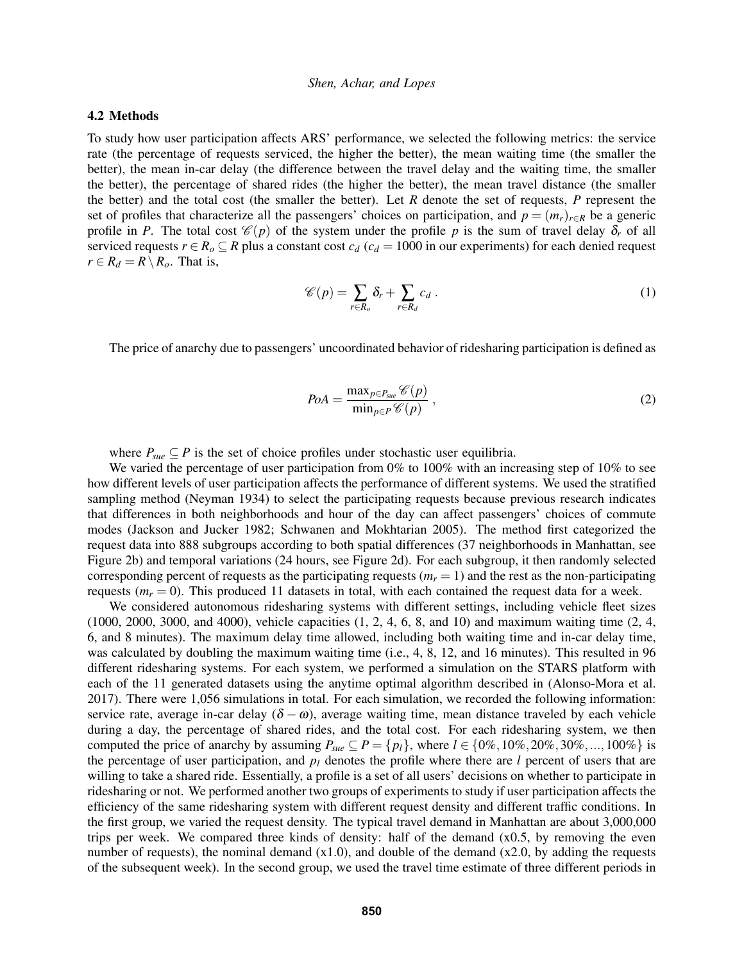### 4.2 Methods

To study how user participation affects ARS' performance, we selected the following metrics: the service rate (the percentage of requests serviced, the higher the better), the mean waiting time (the smaller the better), the mean in-car delay (the difference between the travel delay and the waiting time, the smaller the better), the percentage of shared rides (the higher the better), the mean travel distance (the smaller the better) and the total cost (the smaller the better). Let *R* denote the set of requests, *P* represent the set of profiles that characterize all the passengers' choices on participation, and  $p = (m_r)_{r \in R}$  be a generic profile in *P*. The total cost  $\mathcal{C}(p)$  of the system under the profile *p* is the sum of travel delay  $\delta_r$  of all serviced requests  $r \in R_o \subseteq R$  plus a constant cost  $c_d$  ( $c_d = 1000$  in our experiments) for each denied request  $r \in R_d = R \setminus R_o$ . That is,

$$
\mathscr{C}(p) = \sum_{r \in R_o} \delta_r + \sum_{r \in R_d} c_d \,. \tag{1}
$$

The price of anarchy due to passengers' uncoordinated behavior of ridesharing participation is defined as

$$
PoA = \frac{\max_{p \in P_{\text{Sue}}} \mathcal{C}(p)}{\min_{p \in P} \mathcal{C}(p)},
$$
\n(2)

where  $P_{\textit{Sue}} \subseteq P$  is the set of choice profiles under stochastic user equilibria.

We varied the percentage of user participation from 0% to 100% with an increasing step of 10% to see how different levels of user participation affects the performance of different systems. We used the stratified sampling method (Neyman 1934) to select the participating requests because previous research indicates that differences in both neighborhoods and hour of the day can affect passengers' choices of commute modes (Jackson and Jucker 1982; Schwanen and Mokhtarian 2005). The method first categorized the request data into 888 subgroups according to both spatial differences (37 neighborhoods in Manhattan, see Figure 2b) and temporal variations (24 hours, see Figure 2d). For each subgroup, it then randomly selected corresponding percent of requests as the participating requests  $(m<sub>r</sub> = 1)$  and the rest as the non-participating requests  $(m<sub>r</sub> = 0)$ . This produced 11 datasets in total, with each contained the request data for a week.

We considered autonomous ridesharing systems with different settings, including vehicle fleet sizes (1000, 2000, 3000, and 4000), vehicle capacities (1, 2, 4, 6, 8, and 10) and maximum waiting time (2, 4, 6, and 8 minutes). The maximum delay time allowed, including both waiting time and in-car delay time, was calculated by doubling the maximum waiting time (i.e., 4, 8, 12, and 16 minutes). This resulted in 96 different ridesharing systems. For each system, we performed a simulation on the STARS platform with each of the 11 generated datasets using the anytime optimal algorithm described in (Alonso-Mora et al. 2017). There were 1,056 simulations in total. For each simulation, we recorded the following information: service rate, average in-car delay  $(\delta - \omega)$ , average waiting time, mean distance traveled by each vehicle during a day, the percentage of shared rides, and the total cost. For each ridesharing system, we then computed the price of anarchy by assuming  $P_{\textit{Sue}} \subseteq P = \{p_l\}$ , where  $l \in \{0\%, 10\%, 20\%, 30\%, ..., 100\% \}$  is the percentage of user participation, and  $p_l$  denotes the profile where there are  $l$  percent of users that are willing to take a shared ride. Essentially, a profile is a set of all users' decisions on whether to participate in ridesharing or not. We performed another two groups of experiments to study if user participation affects the efficiency of the same ridesharing system with different request density and different traffic conditions. In the first group, we varied the request density. The typical travel demand in Manhattan are about 3,000,000 trips per week. We compared three kinds of density: half of the demand  $(x0.5, y$  removing the even number of requests), the nominal demand  $(x1.0)$ , and double of the demand  $(x2.0)$ , by adding the requests of the subsequent week). In the second group, we used the travel time estimate of three different periods in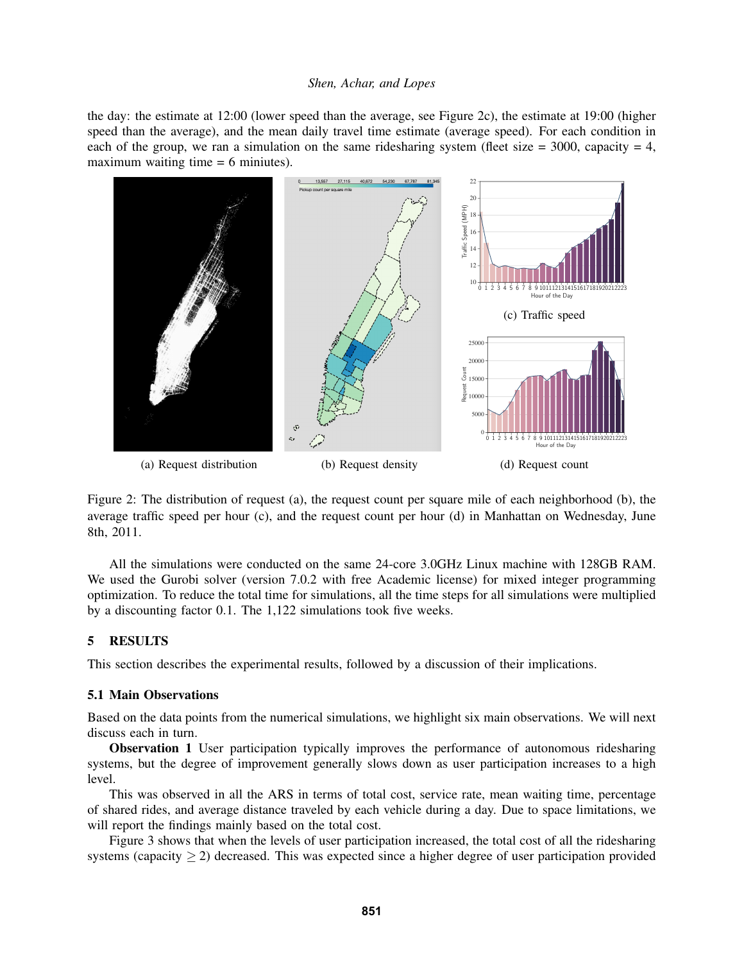the day: the estimate at 12:00 (lower speed than the average, see Figure 2c), the estimate at 19:00 (higher speed than the average), and the mean daily travel time estimate (average speed). For each condition in each of the group, we ran a simulation on the same ridesharing system (fleet size  $= 3000$ , capacity  $= 4$ , maximum waiting time  $= 6$  miniutes).



Figure 2: The distribution of request (a), the request count per square mile of each neighborhood (b), the average traffic speed per hour (c), and the request count per hour (d) in Manhattan on Wednesday, June 8th, 2011.

All the simulations were conducted on the same 24-core 3.0GHz Linux machine with 128GB RAM. We used the Gurobi solver (version 7.0.2 with free Academic license) for mixed integer programming optimization. To reduce the total time for simulations, all the time steps for all simulations were multiplied by a discounting factor 0.1. The 1,122 simulations took five weeks.

### 5 RESULTS

This section describes the experimental results, followed by a discussion of their implications.

### 5.1 Main Observations

Based on the data points from the numerical simulations, we highlight six main observations. We will next discuss each in turn.

Observation 1 User participation typically improves the performance of autonomous ridesharing systems, but the degree of improvement generally slows down as user participation increases to a high level.

This was observed in all the ARS in terms of total cost, service rate, mean waiting time, percentage of shared rides, and average distance traveled by each vehicle during a day. Due to space limitations, we will report the findings mainly based on the total cost.

Figure 3 shows that when the levels of user participation increased, the total cost of all the ridesharing systems (capacity  $\geq$  2) decreased. This was expected since a higher degree of user participation provided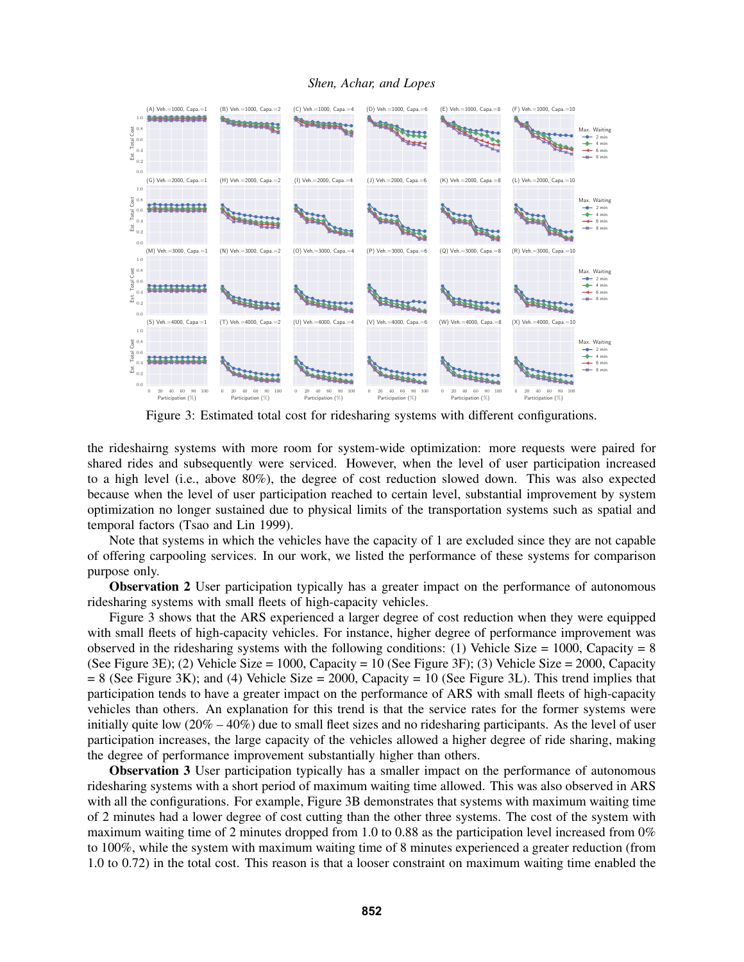

Figure 3: Estimated total cost for ridesharing systems with different configurations.

the rideshairng systems with more room for system-wide optimization: more requests were paired for shared rides and subsequently were serviced. However, when the level of user participation increased to a high level (i.e., above 80%), the degree of cost reduction slowed down. This was also expected because when the level of user participation reached to certain level, substantial improvement by system optimization no longer sustained due to physical limits of the transportation systems such as spatial and temporal factors (Tsao and Lin 1999).

Note that systems in which the vehicles have the capacity of 1 are excluded since they are not capable of offering carpooling services. In our work, we listed the performance of these systems for comparison purpose only.

**Observation 2** User participation typically has a greater impact on the performance of autonomous ridesharing systems with small fleets of high-capacity vehicles.

Figure 3 shows that the ARS experienced a larger degree of cost reduction when they were equipped with small fleets of high-capacity vehicles. For instance, higher degree of performance improvement was observed in the ridesharing systems with the following conditions: (1) Vehicle Size = 1000, Capacity =  $8$ (See Figure 3E); (2) Vehicle Size = 1000, Capacity = 10 (See Figure 3F); (3) Vehicle Size = 2000, Capacity  $= 8$  (See Figure 3K); and (4) Vehicle Size  $= 2000$ , Capacity  $= 10$  (See Figure 3L). This trend implies that participation tends to have a greater impact on the performance of ARS with small fleets of high-capacity vehicles than others. An explanation for this trend is that the service rates for the former systems were initially quite low  $(20\% - 40\%)$  due to small fleet sizes and no ridesharing participants. As the level of user participation increases, the large capacity of the vehicles allowed a higher degree of ride sharing, making the degree of performance improvement substantially higher than others.

Observation 3 User participation typically has a smaller impact on the performance of autonomous ridesharing systems with a short period of maximum waiting time allowed. This was also observed in ARS with all the configurations. For example, Figure 3B demonstrates that systems with maximum waiting time of 2 minutes had a lower degree of cost cutting than the other three systems. The cost of the system with maximum waiting time of 2 minutes dropped from 1.0 to 0.88 as the participation level increased from 0% to 100%, while the system with maximum waiting time of 8 minutes experienced a greater reduction (from 1.0 to 0.72) in the total cost. This reason is that a looser constraint on maximum waiting time enabled the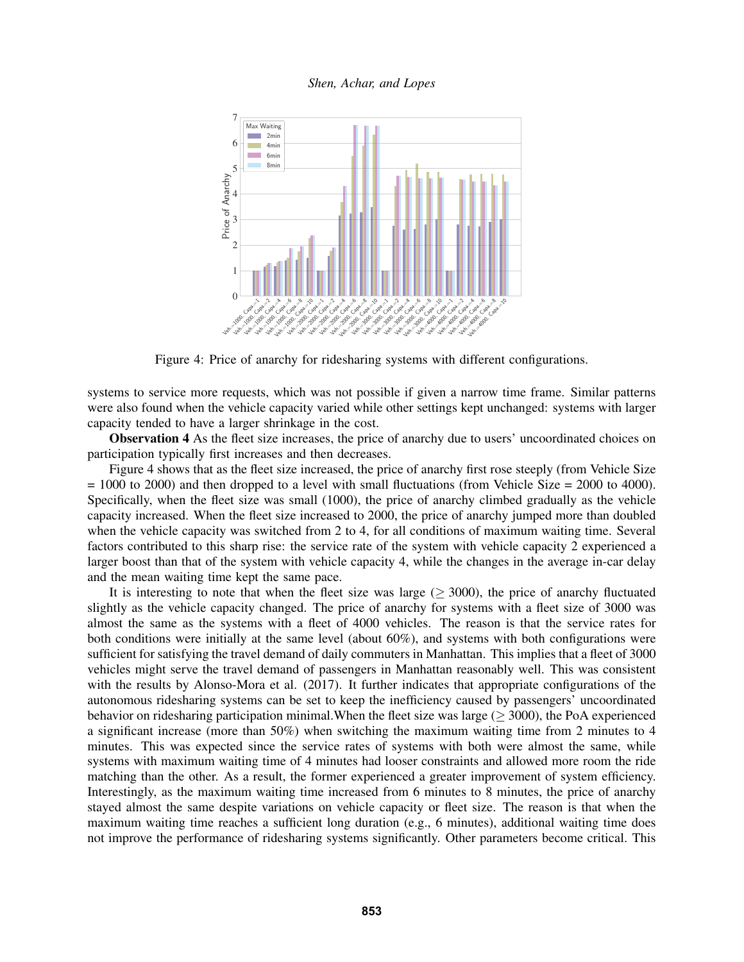

Figure 4: Price of anarchy for ridesharing systems with different configurations.

systems to service more requests, which was not possible if given a narrow time frame. Similar patterns were also found when the vehicle capacity varied while other settings kept unchanged: systems with larger capacity tended to have a larger shrinkage in the cost.

Observation 4 As the fleet size increases, the price of anarchy due to users' uncoordinated choices on participation typically first increases and then decreases.

Figure 4 shows that as the fleet size increased, the price of anarchy first rose steeply (from Vehicle Size  $= 1000$  to 2000) and then dropped to a level with small fluctuations (from Vehicle Size  $= 2000$  to 4000). Specifically, when the fleet size was small (1000), the price of anarchy climbed gradually as the vehicle capacity increased. When the fleet size increased to 2000, the price of anarchy jumped more than doubled when the vehicle capacity was switched from 2 to 4, for all conditions of maximum waiting time. Several factors contributed to this sharp rise: the service rate of the system with vehicle capacity 2 experienced a larger boost than that of the system with vehicle capacity 4, while the changes in the average in-car delay and the mean waiting time kept the same pace.

It is interesting to note that when the fleet size was large  $(> 3000)$ , the price of anarchy fluctuated slightly as the vehicle capacity changed. The price of anarchy for systems with a fleet size of 3000 was almost the same as the systems with a fleet of 4000 vehicles. The reason is that the service rates for both conditions were initially at the same level (about 60%), and systems with both configurations were sufficient for satisfying the travel demand of daily commuters in Manhattan. This implies that a fleet of 3000 vehicles might serve the travel demand of passengers in Manhattan reasonably well. This was consistent with the results by Alonso-Mora et al. (2017). It further indicates that appropriate configurations of the autonomous ridesharing systems can be set to keep the inefficiency caused by passengers' uncoordinated behavior on ridesharing participation minimal. When the fleet size was large ( $>$  3000), the PoA experienced a significant increase (more than 50%) when switching the maximum waiting time from 2 minutes to 4 minutes. This was expected since the service rates of systems with both were almost the same, while systems with maximum waiting time of 4 minutes had looser constraints and allowed more room the ride matching than the other. As a result, the former experienced a greater improvement of system efficiency. Interestingly, as the maximum waiting time increased from 6 minutes to 8 minutes, the price of anarchy stayed almost the same despite variations on vehicle capacity or fleet size. The reason is that when the maximum waiting time reaches a sufficient long duration (e.g., 6 minutes), additional waiting time does not improve the performance of ridesharing systems significantly. Other parameters become critical. This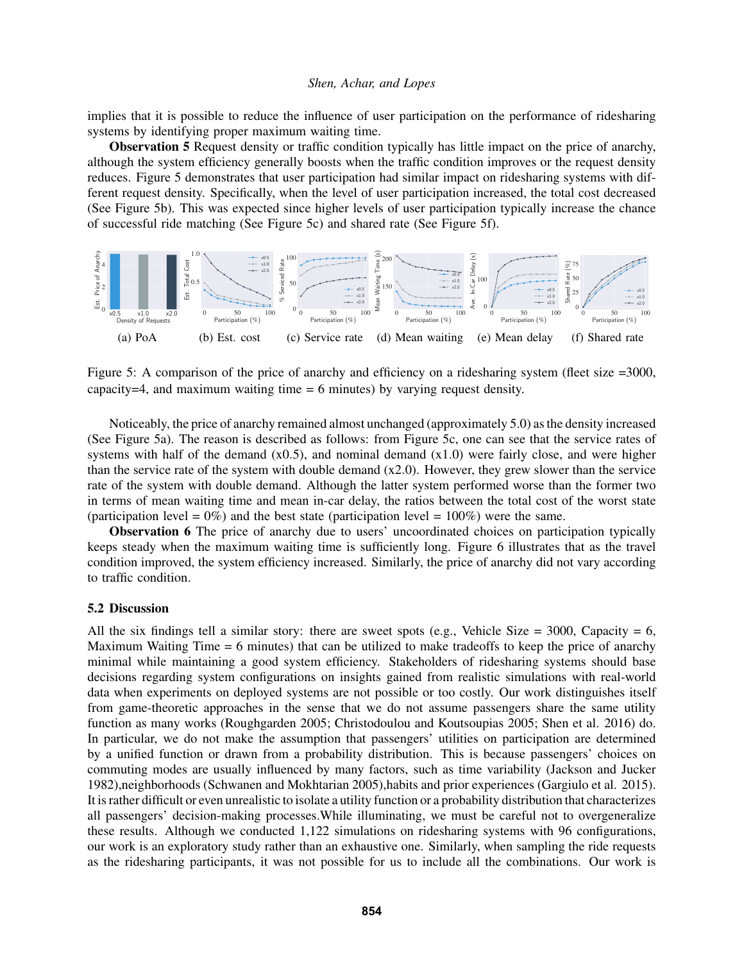implies that it is possible to reduce the influence of user participation on the performance of ridesharing systems by identifying proper maximum waiting time.

Observation 5 Request density or traffic condition typically has little impact on the price of anarchy, although the system efficiency generally boosts when the traffic condition improves or the request density reduces. Figure 5 demonstrates that user participation had similar impact on ridesharing systems with different request density. Specifically, when the level of user participation increased, the total cost decreased (See Figure 5b). This was expected since higher levels of user participation typically increase the chance of successful ride matching (See Figure 5c) and shared rate (See Figure 5f).



Figure 5: A comparison of the price of anarchy and efficiency on a ridesharing system (fleet size =3000, capacity=4, and maximum waiting time  $= 6$  minutes) by varying request density.

Noticeably, the price of anarchy remained almost unchanged (approximately 5.0) as the density increased (See Figure 5a). The reason is described as follows: from Figure 5c, one can see that the service rates of systems with half of the demand (x0.5), and nominal demand (x1.0) were fairly close, and were higher than the service rate of the system with double demand  $(x2.0)$ . However, they grew slower than the service rate of the system with double demand. Although the latter system performed worse than the former two in terms of mean waiting time and mean in-car delay, the ratios between the total cost of the worst state (participation level =  $0\%$ ) and the best state (participation level =  $100\%$ ) were the same.

Observation 6 The price of anarchy due to users' uncoordinated choices on participation typically keeps steady when the maximum waiting time is sufficiently long. Figure 6 illustrates that as the travel condition improved, the system efficiency increased. Similarly, the price of anarchy did not vary according to traffic condition.

### 5.2 Discussion

All the six findings tell a similar story: there are sweet spots (e.g., Vehicle Size = 3000, Capacity = 6, Maximum Waiting Time  $= 6$  minutes) that can be utilized to make tradeoffs to keep the price of anarchy minimal while maintaining a good system efficiency. Stakeholders of ridesharing systems should base decisions regarding system configurations on insights gained from realistic simulations with real-world data when experiments on deployed systems are not possible or too costly. Our work distinguishes itself from game-theoretic approaches in the sense that we do not assume passengers share the same utility function as many works (Roughgarden 2005; Christodoulou and Koutsoupias 2005; Shen et al. 2016) do. In particular, we do not make the assumption that passengers' utilities on participation are determined by a unified function or drawn from a probability distribution. This is because passengers' choices on commuting modes are usually influenced by many factors, such as time variability (Jackson and Jucker 1982),neighborhoods (Schwanen and Mokhtarian 2005),habits and prior experiences (Gargiulo et al. 2015). It is rather difficult or even unrealistic to isolate a utility function or a probability distribution that characterizes all passengers' decision-making processes.While illuminating, we must be careful not to overgeneralize these results. Although we conducted 1,122 simulations on ridesharing systems with 96 configurations, our work is an exploratory study rather than an exhaustive one. Similarly, when sampling the ride requests as the ridesharing participants, it was not possible for us to include all the combinations. Our work is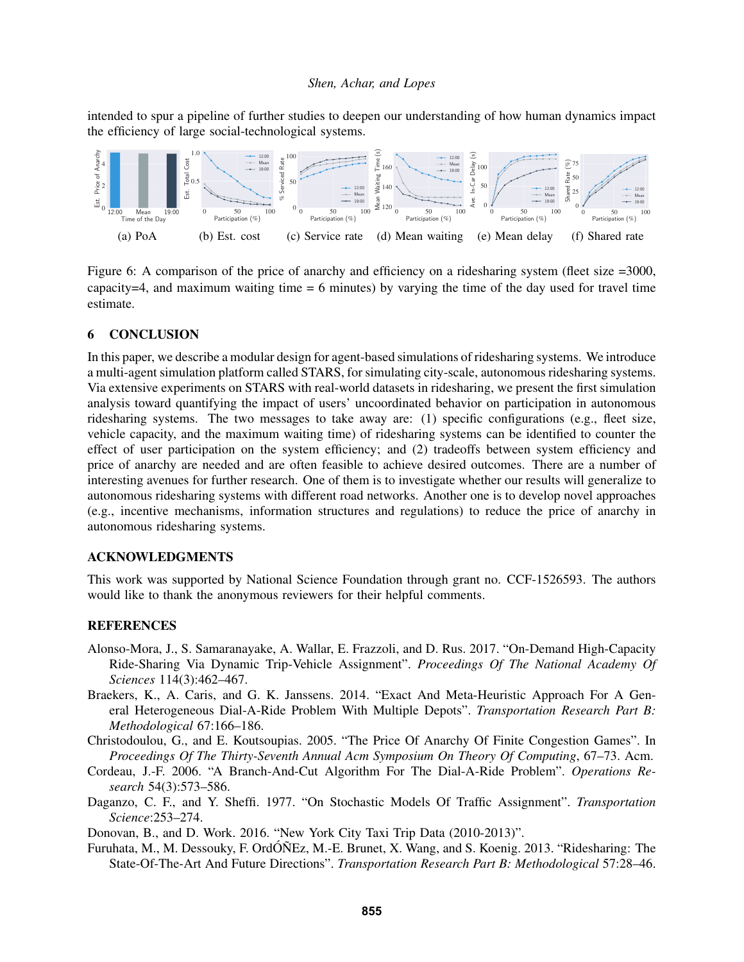intended to spur a pipeline of further studies to deepen our understanding of how human dynamics impact the efficiency of large social-technological systems.



Figure 6: A comparison of the price of anarchy and efficiency on a ridesharing system (fleet size =3000, capacity=4, and maximum waiting time  $= 6$  minutes) by varying the time of the day used for travel time estimate.

## 6 CONCLUSION

In this paper, we describe a modular design for agent-based simulations of ridesharing systems. We introduce a multi-agent simulation platform called STARS, for simulating city-scale, autonomous ridesharing systems. Via extensive experiments on STARS with real-world datasets in ridesharing, we present the first simulation analysis toward quantifying the impact of users' uncoordinated behavior on participation in autonomous ridesharing systems. The two messages to take away are: (1) specific configurations (e.g., fleet size, vehicle capacity, and the maximum waiting time) of ridesharing systems can be identified to counter the effect of user participation on the system efficiency; and (2) tradeoffs between system efficiency and price of anarchy are needed and are often feasible to achieve desired outcomes. There are a number of interesting avenues for further research. One of them is to investigate whether our results will generalize to autonomous ridesharing systems with different road networks. Another one is to develop novel approaches (e.g., incentive mechanisms, information structures and regulations) to reduce the price of anarchy in autonomous ridesharing systems.

## ACKNOWLEDGMENTS

This work was supported by National Science Foundation through grant no. CCF-1526593. The authors would like to thank the anonymous reviewers for their helpful comments.

#### **REFERENCES**

- Alonso-Mora, J., S. Samaranayake, A. Wallar, E. Frazzoli, and D. Rus. 2017. "On-Demand High-Capacity Ride-Sharing Via Dynamic Trip-Vehicle Assignment". *Proceedings Of The National Academy Of Sciences* 114(3):462–467.
- Braekers, K., A. Caris, and G. K. Janssens. 2014. "Exact And Meta-Heuristic Approach For A General Heterogeneous Dial-A-Ride Problem With Multiple Depots". *Transportation Research Part B: Methodological* 67:166–186.
- Christodoulou, G., and E. Koutsoupias. 2005. "The Price Of Anarchy Of Finite Congestion Games". In *Proceedings Of The Thirty-Seventh Annual Acm Symposium On Theory Of Computing*, 67–73. Acm.
- Cordeau, J.-F. 2006. "A Branch-And-Cut Algorithm For The Dial-A-Ride Problem". *Operations Research* 54(3):573–586.
- Daganzo, C. F., and Y. Sheffi. 1977. "On Stochastic Models Of Traffic Assignment". *Transportation Science*:253–274.

Donovan, B., and D. Work. 2016. "New York City Taxi Trip Data (2010-2013)".

Furuhata, M., M. Dessouky, F. OrdÓÑEz, M.-E. Brunet, X. Wang, and S. Koenig. 2013. "Ridesharing: The State-Of-The-Art And Future Directions". *Transportation Research Part B: Methodological* 57:28–46.